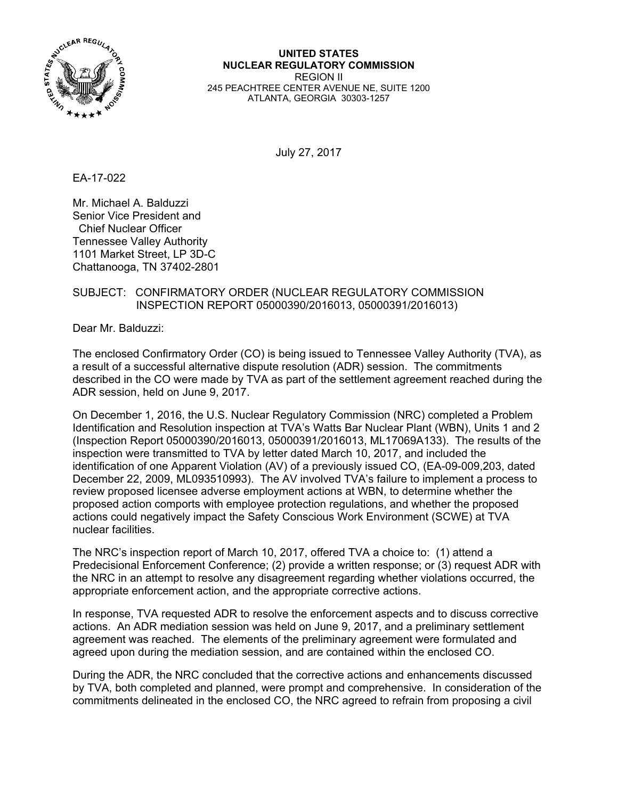

**UNITED STATES NUCLEAR REGULATORY COMMISSION**  REGION II 245 PEACHTREE CENTER AVENUE NE, SUITE 1200 ATLANTA, GEORGIA 30303-1257

July 27, 2017

EA-17-022

Mr. Michael A. Balduzzi Senior Vice President and Chief Nuclear Officer Tennessee Valley Authority 1101 Market Street, LP 3D-C Chattanooga, TN 37402-2801

# SUBJECT: CONFIRMATORY ORDER (NUCLEAR REGULATORY COMMISSION INSPECTION REPORT 05000390/2016013, 05000391/2016013)

Dear Mr. Balduzzi:

The enclosed Confirmatory Order (CO) is being issued to Tennessee Valley Authority (TVA), as a result of a successful alternative dispute resolution (ADR) session. The commitments described in the CO were made by TVA as part of the settlement agreement reached during the ADR session, held on June 9, 2017.

On December 1, 2016, the U.S. Nuclear Regulatory Commission (NRC) completed a Problem Identification and Resolution inspection at TVA's Watts Bar Nuclear Plant (WBN), Units 1 and 2 (Inspection Report 05000390/2016013, 05000391/2016013, ML17069A133). The results of the inspection were transmitted to TVA by letter dated March 10, 2017, and included the identification of one Apparent Violation (AV) of a previously issued CO, (EA-09-009,203, dated December 22, 2009, ML093510993). The AV involved TVA's failure to implement a process to review proposed licensee adverse employment actions at WBN, to determine whether the proposed action comports with employee protection regulations, and whether the proposed actions could negatively impact the Safety Conscious Work Environment (SCWE) at TVA nuclear facilities.

The NRC's inspection report of March 10, 2017, offered TVA a choice to: (1) attend a Predecisional Enforcement Conference; (2) provide a written response; or (3) request ADR with the NRC in an attempt to resolve any disagreement regarding whether violations occurred, the appropriate enforcement action, and the appropriate corrective actions.

In response, TVA requested ADR to resolve the enforcement aspects and to discuss corrective actions. An ADR mediation session was held on June 9, 2017, and a preliminary settlement agreement was reached. The elements of the preliminary agreement were formulated and agreed upon during the mediation session, and are contained within the enclosed CO.

During the ADR, the NRC concluded that the corrective actions and enhancements discussed by TVA, both completed and planned, were prompt and comprehensive. In consideration of the commitments delineated in the enclosed CO, the NRC agreed to refrain from proposing a civil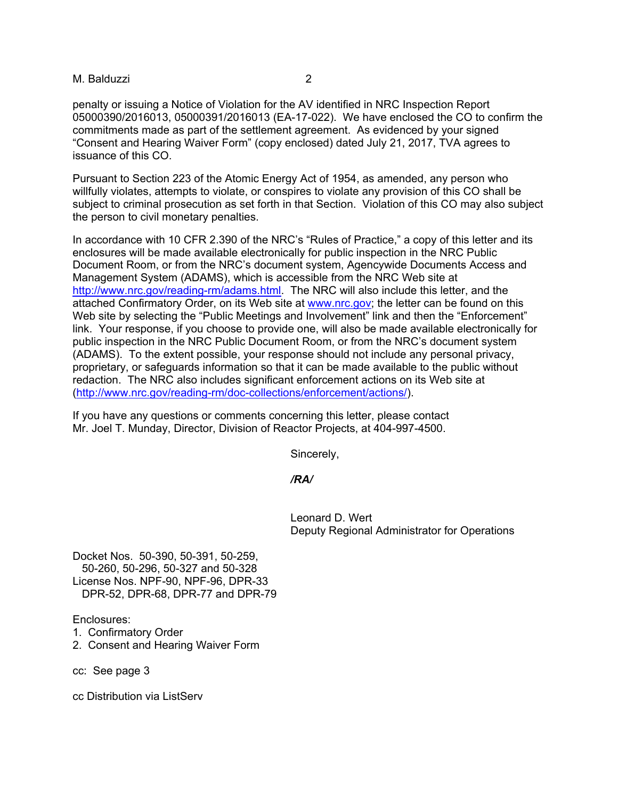## M. Balduzzi 2

penalty or issuing a Notice of Violation for the AV identified in NRC Inspection Report 05000390/2016013, 05000391/2016013 (EA-17-022). We have enclosed the CO to confirm the commitments made as part of the settlement agreement. As evidenced by your signed "Consent and Hearing Waiver Form" (copy enclosed) dated July 21, 2017, TVA agrees to issuance of this CO.

Pursuant to Section 223 of the Atomic Energy Act of 1954, as amended, any person who willfully violates, attempts to violate, or conspires to violate any provision of this CO shall be subject to criminal prosecution as set forth in that Section. Violation of this CO may also subject the person to civil monetary penalties.

In accordance with 10 CFR 2.390 of the NRC's "Rules of Practice," a copy of this letter and its enclosures will be made available electronically for public inspection in the NRC Public Document Room, or from the NRC's document system, Agencywide Documents Access and Management System (ADAMS), which is accessible from the NRC Web site at http://www.nrc.gov/reading-rm/adams.html. The NRC will also include this letter, and the attached Confirmatory Order, on its Web site at www.nrc.gov; the letter can be found on this Web site by selecting the "Public Meetings and Involvement" link and then the "Enforcement" link. Your response, if you choose to provide one, will also be made available electronically for public inspection in the NRC Public Document Room, or from the NRC's document system (ADAMS). To the extent possible, your response should not include any personal privacy, proprietary, or safeguards information so that it can be made available to the public without redaction. The NRC also includes significant enforcement actions on its Web site at (http://www.nrc.gov/reading-rm/doc-collections/enforcement/actions/).

If you have any questions or comments concerning this letter, please contact Mr. Joel T. Munday, Director, Division of Reactor Projects, at 404-997-4500.

Sincerely,

#### */RA/*

 Leonard D. Wert Deputy Regional Administrator for Operations

Docket Nos. 50-390, 50-391, 50-259, 50-260, 50-296, 50-327 and 50-328 License Nos. NPF-90, NPF-96, DPR-33 DPR-52, DPR-68, DPR-77 and DPR-79

Enclosures:

- 1. Confirmatory Order
- 2. Consent and Hearing Waiver Form

cc: See page 3

cc Distribution via ListServ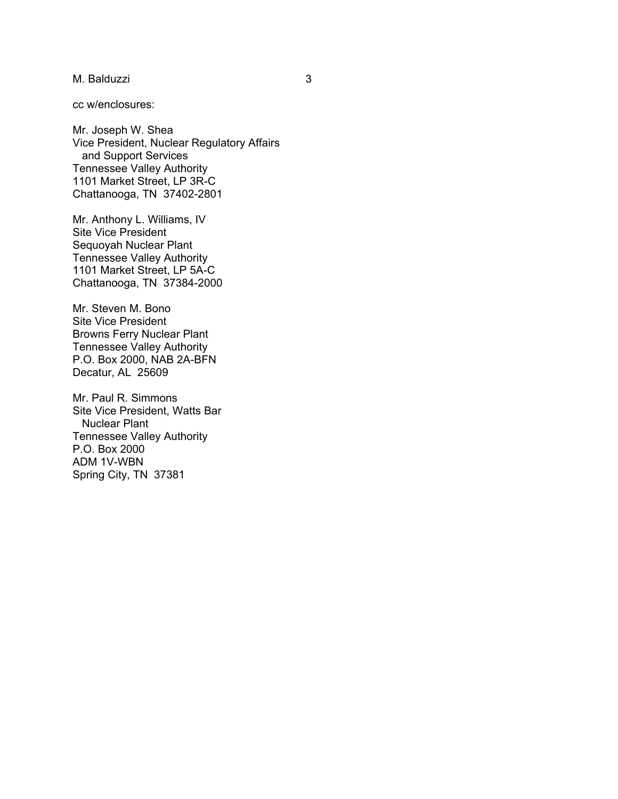M. Balduzzi 3

cc w/enclosures:

Mr. Joseph W. Shea Vice President, Nuclear Regulatory Affairs and Support Services Tennessee Valley Authority 1101 Market Street, LP 3R-C Chattanooga, TN 37402-2801

Mr. Anthony L. Williams, IV Site Vice President Sequoyah Nuclear Plant Tennessee Valley Authority 1101 Market Street, LP 5A-C Chattanooga, TN 37384-2000

Mr. Steven M. Bono Site Vice President Browns Ferry Nuclear Plant Tennessee Valley Authority P.O. Box 2000, NAB 2A-BFN Decatur, AL 25609

Mr. Paul R. Simmons Site Vice President, Watts Bar Nuclear Plant Tennessee Valley Authority P.O. Box 2000 ADM 1V-WBN Spring City, TN 37381